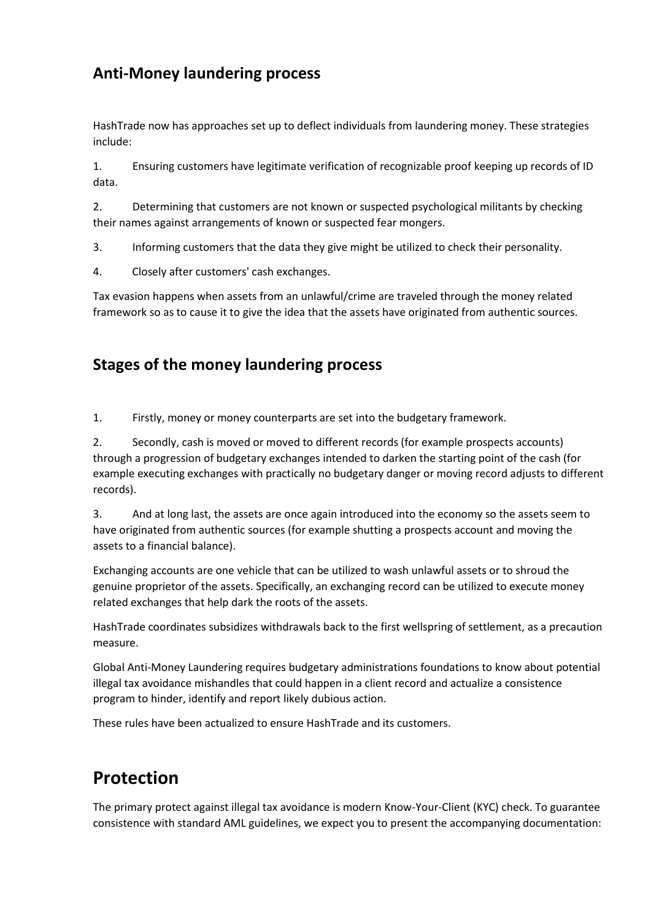## **Anti-Money laundering process**

HashTrade now has approaches set up to deflect individuals from laundering money. These strategies include:

1. Ensuring customers have legitimate verification of recognizable proof keeping up records of ID data.

2. Determining that customers are not known or suspected psychological militants by checking their names against arrangements of known or suspected fear mongers.

3. Informing customers that the data they give might be utilized to check their personality.

4. Closely after customers' cash exchanges.

Tax evasion happens when assets from an unlawful/crime are traveled through the money related framework so as to cause it to give the idea that the assets have originated from authentic sources.

## **Stages of the money laundering process**

1. Firstly, money or money counterparts are set into the budgetary framework.

2. Secondly, cash is moved or moved to different records (for example prospects accounts) through a progression of budgetary exchanges intended to darken the starting point of the cash (for example executing exchanges with practically no budgetary danger or moving record adjusts to different records).

3. And at long last, the assets are once again introduced into the economy so the assets seem to have originated from authentic sources (for example shutting a prospects account and moving the assets to a financial balance).

Exchanging accounts are one vehicle that can be utilized to wash unlawful assets or to shroud the genuine proprietor of the assets. Specifically, an exchanging record can be utilized to execute money related exchanges that help dark the roots of the assets.

HashTrade coordinates subsidizes withdrawals back to the first wellspring of settlement, as a precaution measure.

Global Anti-Money Laundering requires budgetary administrations foundations to know about potential illegal tax avoidance mishandles that could happen in a client record and actualize a consistence program to hinder, identify and report likely dubious action.

These rules have been actualized to ensure HashTrade and its customers.

## **Protection**

The primary protect against illegal tax avoidance is modern Know-Your-Client (KYC) check. To guarantee consistence with standard AML guidelines, we expect you to present the accompanying documentation: